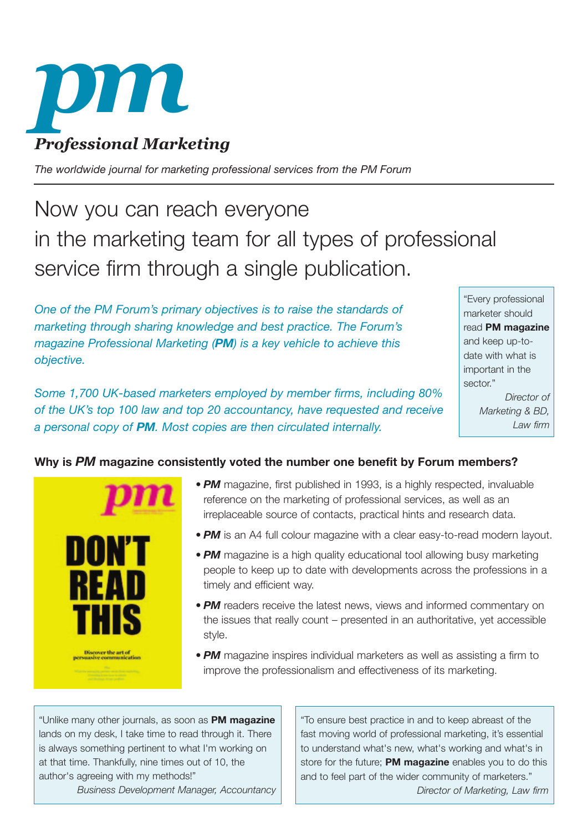

*The worldwide journal for marketing professional services from the PM Forum* 

# Now you can reach everyone in the marketing team for all types of professional service firm through a single publication.

*One of the PM Forum's primary objectives is to raise the standards of marketing through sharing knowledge and best practice. The Forum's magazine Professional Marketing (PM) is a key vehicle to achieve this objective.*

*Some 1,700 UK-based marketers employed by member firms, including 80% of the UK's top 100 law and top 20 accountancy, have requested and receive a personal copy of PM. Most copies are then circulated internally.*

"Every professional marketer should read **PM magazine** and keep up-todate with what is important in the sector." *Director of*

*Marketing & BD, Law firm*

## **Why is** *PM* **magazine consistently voted the number one benefit by Forum members?**



- **PM** magazine, first published in 1993, is a highly respected, invaluable reference on the marketing of professional services, as well as an irreplaceable source of contacts, practical hints and research data.
- *PM* is an A4 full colour magazine with a clear easy-to-read modern layout.
- *PM* magazine is a high quality educational tool allowing busy marketing people to keep up to date with developments across the professions in a timely and efficient way.
- *PM* readers receive the latest news, views and informed commentary on the issues that really count – presented in an authoritative, yet accessible style.
- *PM* magazine inspires individual marketers as well as assisting a firm to improve the professionalism and effectiveness of its marketing.

"Unlike many other journals, as soon as **PM magazine** lands on my desk, I take time to read through it. There is always something pertinent to what I'm working on at that time. Thankfully, nine times out of 10, the author's agreeing with my methods!"

*Business Development Manager, Accountancy*

"To ensure best practice in and to keep abreast of the fast moving world of professional marketing, it's essential to understand what's new, what's working and what's in store for the future; **PM magazine** enables you to do this and to feel part of the wider community of marketers." *Director of Marketing, Law firm*